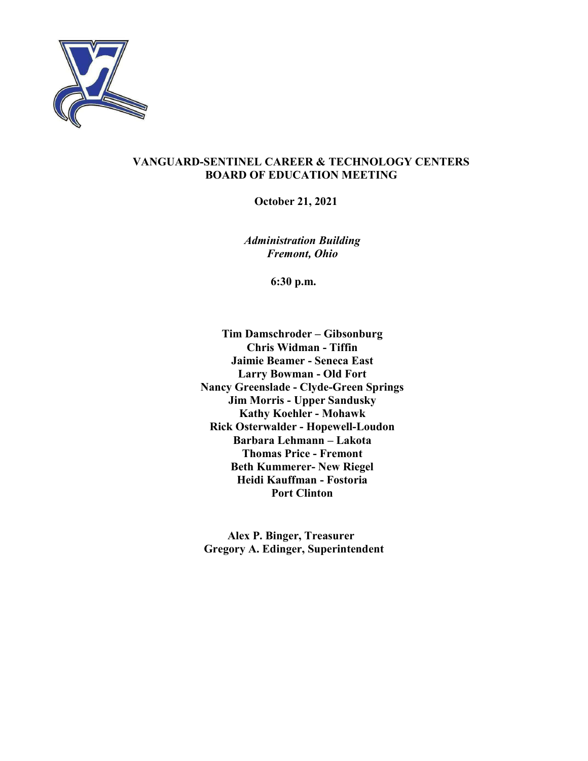

#### VANGUARD-SENTINEL CAREER & TECHNOLOGY CENTERS BOARD OF EDUCATION MEETING

October 21, 2021

Administration Building Fremont, Ohio

6:30 p.m.

Tim Damschroder – Gibsonburg Chris Widman - Tiffin Jaimie Beamer - Seneca East Larry Bowman - Old Fort Nancy Greenslade - Clyde-Green Springs Jim Morris - Upper Sandusky Kathy Koehler - Mohawk Rick Osterwalder - Hopewell-Loudon Barbara Lehmann – Lakota Thomas Price - Fremont Beth Kummerer- New Riegel Heidi Kauffman - Fostoria Port Clinton

Alex P. Binger, Treasurer Gregory A. Edinger, Superintendent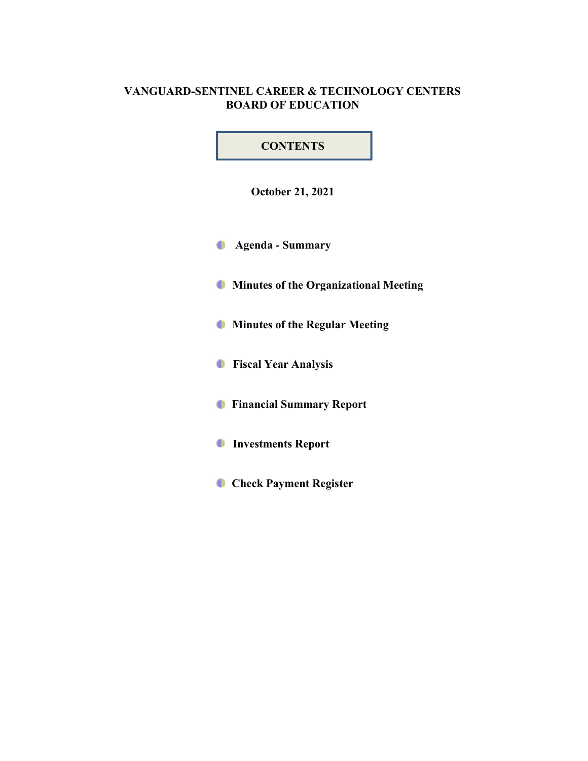# VANGUARD-SENTINEL CAREER & TECHNOLOGY CENTERS BOARD OF EDUCATION

# **CONTENTS**

October 21, 2021

Agenda - Summary

**Minutes of the Organizational Meeting** 

**Minutes of the Regular Meeting** 

**Fiscal Year Analysis** 

**C** Financial Summary Report

Investments Report

**Check Payment Register**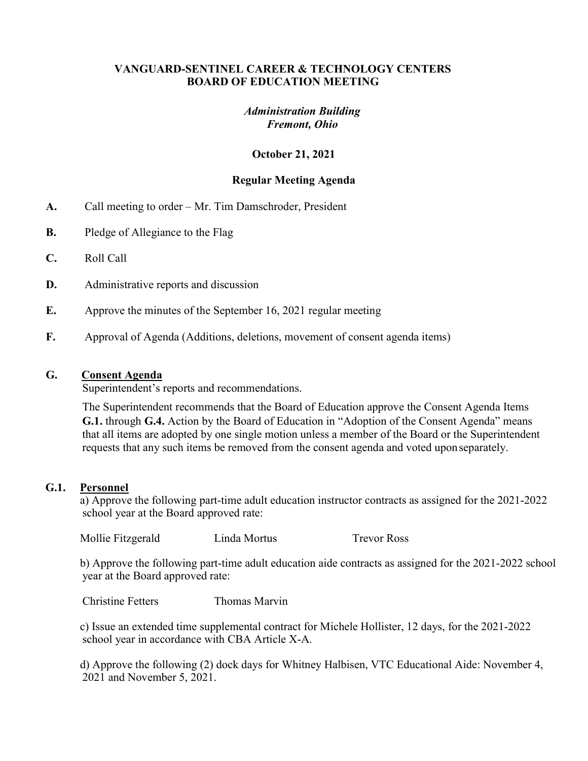### VANGUARD-SENTINEL CAREER & TECHNOLOGY CENTERS BOARD OF EDUCATION MEETING

## Administration Building Fremont, Ohio

## October 21, 2021

## Regular Meeting Agenda

- A. Call meeting to order Mr. Tim Damschroder, President
- **B.** Pledge of Allegiance to the Flag
- C. Roll Call
- D. Administrative reports and discussion
- E. Approve the minutes of the September 16, 2021 regular meeting
- F. Approval of Agenda (Additions, deletions, movement of consent agenda items)

#### G. Consent Agenda

Superintendent's reports and recommendations.

The Superintendent recommends that the Board of Education approve the Consent Agenda Items G.1. through G.4. Action by the Board of Education in "Adoption of the Consent Agenda" means that all items are adopted by one single motion unless a member of the Board or the Superintendent requests that any such items be removed from the consent agenda and voted upon separately.

#### G.1. Personnel

 a) Approve the following part-time adult education instructor contracts as assigned for the 2021-2022 school year at the Board approved rate:

Mollie Fitzgerald Linda Mortus Trevor Ross

 b) Approve the following part-time adult education aide contracts as assigned for the 2021-2022 school year at the Board approved rate:

Christine Fetters Thomas Marvin

 c) Issue an extended time supplemental contract for Michele Hollister, 12 days, for the 2021-2022 school year in accordance with CBA Article X-A.

 d) Approve the following (2) dock days for Whitney Halbisen, VTC Educational Aide: November 4, 2021 and November 5, 2021.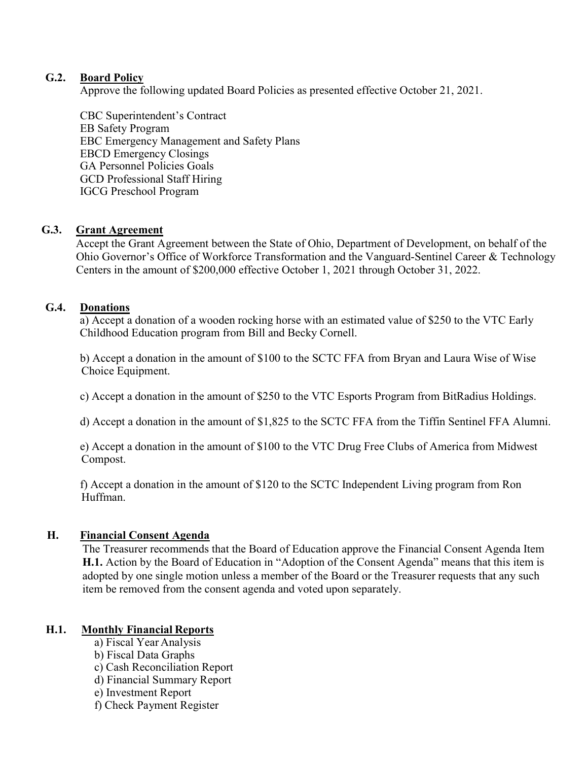## G.2. Board Policy

Approve the following updated Board Policies as presented effective October 21, 2021.

 CBC Superintendent's Contract EB Safety Program EBC Emergency Management and Safety Plans EBCD Emergency Closings GA Personnel Policies Goals GCD Professional Staff Hiring IGCG Preschool Program

## G.3. Grant Agreement

Accept the Grant Agreement between the State of Ohio, Department of Development, on behalf of the Ohio Governor's Office of Workforce Transformation and the Vanguard-Sentinel Career & Technology Centers in the amount of \$200,000 effective October 1, 2021 through October 31, 2022.

## G.4. Donations

a) Accept a donation of a wooden rocking horse with an estimated value of \$250 to the VTC Early Childhood Education program from Bill and Becky Cornell.

 b) Accept a donation in the amount of \$100 to the SCTC FFA from Bryan and Laura Wise of Wise Choice Equipment.

c) Accept a donation in the amount of \$250 to the VTC Esports Program from BitRadius Holdings.

d) Accept a donation in the amount of \$1,825 to the SCTC FFA from the Tiffin Sentinel FFA Alumni.

 e) Accept a donation in the amount of \$100 to the VTC Drug Free Clubs of America from Midwest Compost.

 f) Accept a donation in the amount of \$120 to the SCTC Independent Living program from Ron Huffman.

## H. Financial Consent Agenda

The Treasurer recommends that the Board of Education approve the Financial Consent Agenda Item H.1. Action by the Board of Education in "Adoption of the Consent Agenda" means that this item is adopted by one single motion unless a member of the Board or the Treasurer requests that any such item be removed from the consent agenda and voted upon separately.

## H.1. Monthly Financial Reports

- a) Fiscal Year Analysis
- b) Fiscal Data Graphs
- c) Cash Reconciliation Report
- d) Financial Summary Report
- e) Investment Report
- f) Check Payment Register